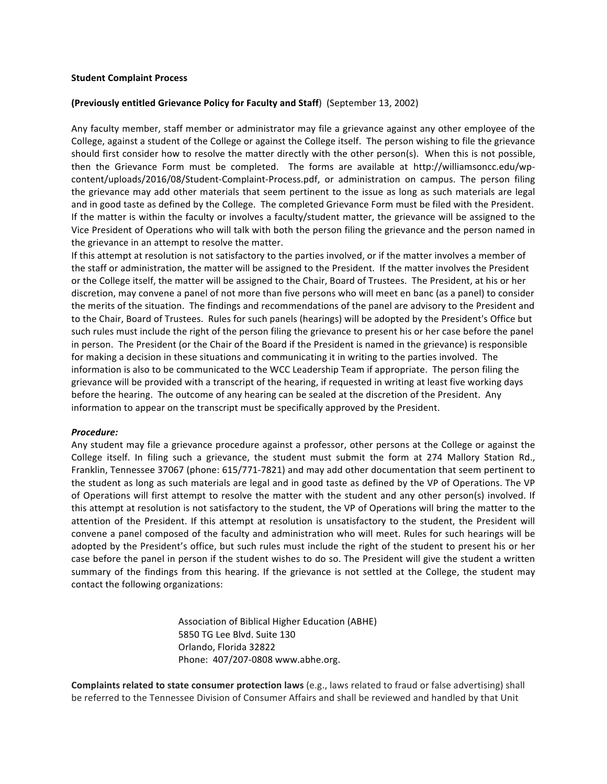## **Student Complaint Process**

## **(Previously entitled Grievance Policy for Faculty and Staff)** (September 13, 2002)

Any faculty member, staff member or administrator may file a grievance against any other employee of the College, against a student of the College or against the College itself. The person wishing to file the grievance should first consider how to resolve the matter directly with the other person(s). When this is not possible, then the Grievance Form must be completed. The forms are available at http://williamsoncc.edu/wpcontent/uploads/2016/08/Student-Complaint-Process.pdf, or administration on campus. The person filing the grievance may add other materials that seem pertinent to the issue as long as such materials are legal and in good taste as defined by the College. The completed Grievance Form must be filed with the President. If the matter is within the faculty or involves a faculty/student matter, the grievance will be assigned to the Vice President of Operations who will talk with both the person filing the grievance and the person named in the grievance in an attempt to resolve the matter.

If this attempt at resolution is not satisfactory to the parties involved, or if the matter involves a member of the staff or administration, the matter will be assigned to the President. If the matter involves the President or the College itself, the matter will be assigned to the Chair, Board of Trustees. The President, at his or her discretion, may convene a panel of not more than five persons who will meet en banc (as a panel) to consider the merits of the situation. The findings and recommendations of the panel are advisory to the President and to the Chair, Board of Trustees. Rules for such panels (hearings) will be adopted by the President's Office but such rules must include the right of the person filing the grievance to present his or her case before the panel in person. The President (or the Chair of the Board if the President is named in the grievance) is responsible for making a decision in these situations and communicating it in writing to the parties involved. The information is also to be communicated to the WCC Leadership Team if appropriate. The person filing the grievance will be provided with a transcript of the hearing, if requested in writing at least five working days before the hearing. The outcome of any hearing can be sealed at the discretion of the President. Any information to appear on the transcript must be specifically approved by the President.

## *Procedure:*

Any student may file a grievance procedure against a professor, other persons at the College or against the College itself. In filing such a grievance, the student must submit the form at 274 Mallory Station Rd., Franklin, Tennessee 37067 (phone: 615/771-7821) and may add other documentation that seem pertinent to the student as long as such materials are legal and in good taste as defined by the VP of Operations. The VP of Operations will first attempt to resolve the matter with the student and any other person(s) involved. If this attempt at resolution is not satisfactory to the student, the VP of Operations will bring the matter to the attention of the President. If this attempt at resolution is unsatisfactory to the student, the President will convene a panel composed of the faculty and administration who will meet. Rules for such hearings will be adopted by the President's office, but such rules must include the right of the student to present his or her case before the panel in person if the student wishes to do so. The President will give the student a written summary of the findings from this hearing. If the grievance is not settled at the College, the student may contact the following organizations:

> Association of Biblical Higher Education (ABHE) 5850 TG Lee Blvd. Suite 130 Orlando, Florida 32822 Phone: 407/207-0808 www.abhe.org.

**Complaints related to state consumer protection laws** (e.g., laws related to fraud or false advertising) shall be referred to the Tennessee Division of Consumer Affairs and shall be reviewed and handled by that Unit